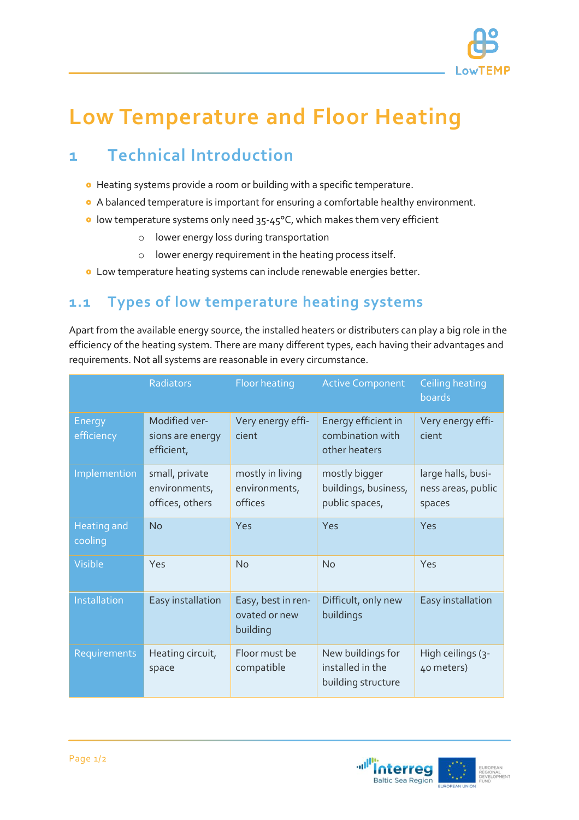

## **Low Temperature and Floor Heating**

## **1 Technical Introduction**

- Heating systems provide a room or building with a specific temperature.
- A balanced temperature is important for ensuring a comfortable healthy environment.
- o low temperature systems only need  $35-45$ °C, which makes them very efficient
	- o lower energy loss during transportation
	- o lower energy requirement in the heating process itself.
- Low temperature heating systems can include renewable energies better.

## **1.1 Types of low temperature heating systems**

Apart from the available energy source, the installed heaters or distributers can play a big role in the efficiency of the heating system. There are many different types, each having their advantages and requirements. Not all systems are reasonable in every circumstance.

|                               | Radiators                                          | <b>Floor heating</b>                            | <b>Active Component</b>                                     | <b>Ceiling heating</b><br>boards                   |
|-------------------------------|----------------------------------------------------|-------------------------------------------------|-------------------------------------------------------------|----------------------------------------------------|
| Energy<br>efficiency          | Modified ver-<br>sions are energy<br>efficient,    | Very energy effi-<br>cient                      | Energy efficient in<br>combination with<br>other heaters    | Very energy effi-<br>cient                         |
| Implemention                  | small, private<br>environments,<br>offices, others | mostly in living<br>environments,<br>offices    | mostly bigger<br>buildings, business,<br>public spaces,     | large halls, busi-<br>ness areas, public<br>spaces |
| <b>Heating and</b><br>cooling | <b>No</b>                                          | Yes                                             | Yes                                                         | Yes                                                |
| Visible                       | Yes                                                | No                                              | <b>No</b>                                                   | Yes                                                |
| Installation                  | Easy installation                                  | Easy, best in ren-<br>ovated or new<br>building | Difficult, only new<br>buildings                            | Easy installation                                  |
| Requirements                  | Heating circuit,<br>space                          | Floor must be<br>compatible                     | New buildings for<br>installed in the<br>building structure | High ceilings (3-<br>40 meters)                    |